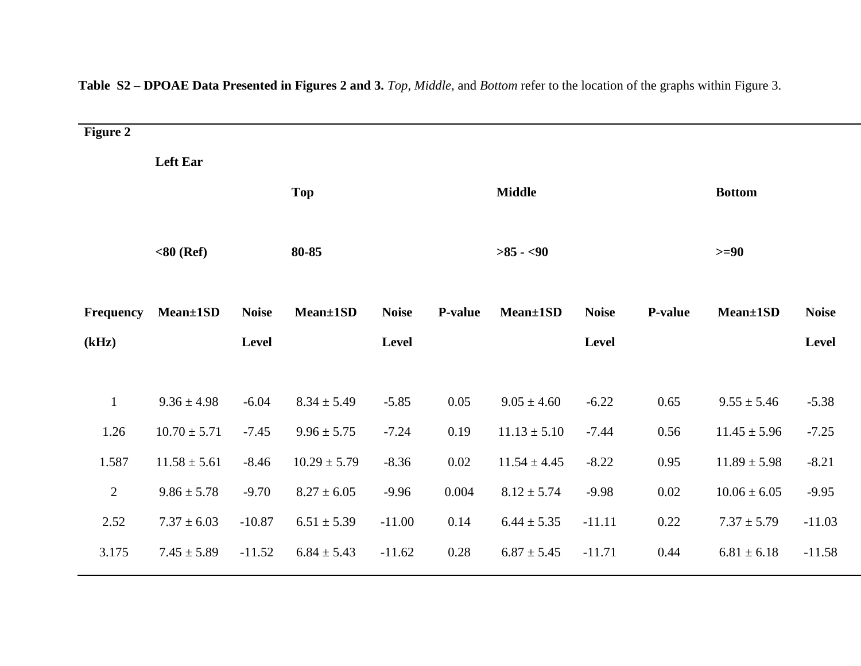| <b>Figure 2</b> |                  |              |                  |              |               |                  |               |          |                  |              |
|-----------------|------------------|--------------|------------------|--------------|---------------|------------------|---------------|----------|------------------|--------------|
|                 | <b>Left Ear</b>  |              |                  |              |               |                  |               |          |                  |              |
|                 | <b>Top</b>       |              |                  |              | <b>Middle</b> |                  | <b>Bottom</b> |          |                  |              |
|                 |                  |              |                  |              |               |                  |               |          |                  |              |
|                 | $< 80$ (Ref)     |              | 80-85            |              |               | $>85 - 90$       |               |          | $>= 90$          |              |
|                 |                  |              |                  |              |               |                  |               |          |                  |              |
| Frequency       | Mean±1SD         | <b>Noise</b> | Mean±1SD         | <b>Noise</b> | P-value       | Mean±1SD         | <b>Noise</b>  | P-value  | Mean±1SD         | <b>Noise</b> |
| (kHz)           | Level            |              |                  | Level        |               |                  | Level         | Level    |                  |              |
|                 |                  |              |                  |              |               |                  |               |          |                  |              |
| $\mathbf{1}$    | $9.36 \pm 4.98$  | $-6.04$      | $8.34 \pm 5.49$  | $-5.85$      | 0.05          | $9.05 \pm 4.60$  | $-6.22$       | 0.65     | $9.55 \pm 5.46$  | $-5.38$      |
| 1.26            | $10.70 \pm 5.71$ | $-7.45$      | $9.96 \pm 5.75$  | $-7.24$      | 0.19          | $11.13 \pm 5.10$ | $-7.44$       | 0.56     | $11.45 \pm 5.96$ | $-7.25$      |
| 1.587           | $11.58 \pm 5.61$ | $-8.46$      | $10.29 \pm 5.79$ | $-8.36$      | $0.02\,$      | $11.54 \pm 4.45$ | $-8.22$       | 0.95     | $11.89 \pm 5.98$ | $-8.21$      |
| $\overline{2}$  | $9.86 \pm 5.78$  | $-9.70$      | $8.27 \pm 6.05$  | $-9.96$      | 0.004         | $8.12 \pm 5.74$  | $-9.98$       | $0.02\,$ | $10.06 \pm 6.05$ | $-9.95$      |
| 2.52            | $7.37 \pm 6.03$  | $-10.87$     | $6.51 \pm 5.39$  | $-11.00$     | 0.14          | $6.44 \pm 5.35$  | $-11.11$      | 0.22     | $7.37 \pm 5.79$  | $-11.03$     |
| 3.175           | $7.45 \pm 5.89$  | $-11.52$     | $6.84 \pm 5.43$  | $-11.62$     | 0.28          | $6.87 \pm 5.45$  | $-11.71$      | 0.44     | $6.81 \pm 6.18$  | $-11.58$     |
|                 |                  |              |                  |              |               |                  |               |          |                  |              |

**Table S2 – DPOAE Data Presented in Figures 2 and 3.** *Top*, *Middle*, and *Bottom* refer to the location of the graphs within Figure 3.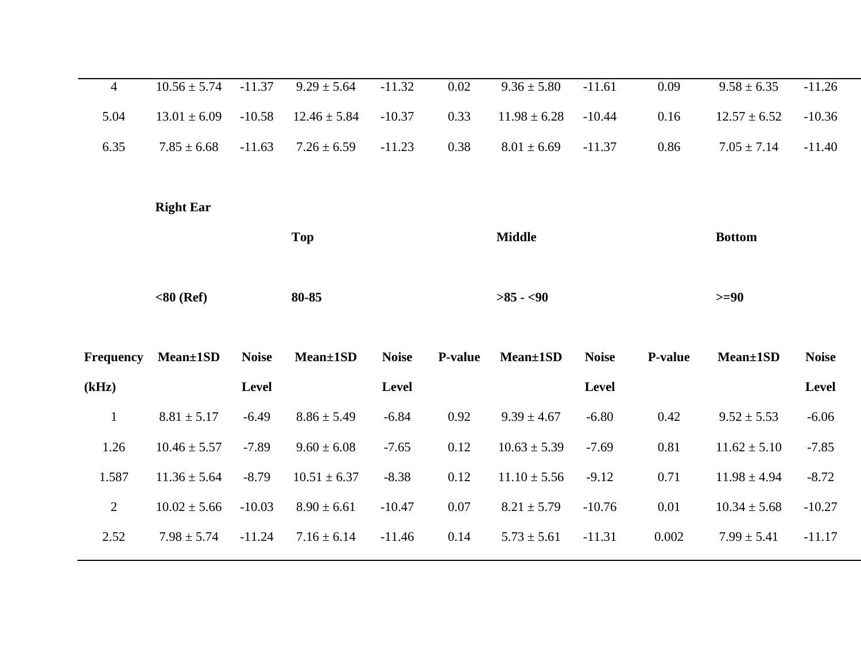| $\overline{4}$ | $10.56 \pm 5.74$ | $-11.37$     | $9.29 \pm 5.64$  | $-11.32$     | $0.02\,$       | $9.36 \pm 5.80$  | $-11.61$      | 0.09           | $9.58 \pm 6.35$  | $-11.26$     |
|----------------|------------------|--------------|------------------|--------------|----------------|------------------|---------------|----------------|------------------|--------------|
| 5.04           | $13.01 \pm 6.09$ | $-10.58$     | $12.46 \pm 5.84$ | $-10.37$     | 0.33           | $11.98 \pm 6.28$ | $-10.44$      | 0.16           | $12.57 \pm 6.52$ | $-10.36$     |
| 6.35           | $7.85 \pm 6.68$  | $-11.63$     | $7.26 \pm 6.59$  | $-11.23$     | 0.38           | $8.01 \pm 6.69$  | $-11.37$      | 0.86           | $7.05 \pm 7.14$  | $-11.40$     |
|                |                  |              |                  |              |                |                  |               |                |                  |              |
|                | <b>Right Ear</b> |              |                  |              |                |                  |               |                |                  |              |
|                | <b>Top</b>       |              |                  |              | <b>Middle</b>  |                  | <b>Bottom</b> |                |                  |              |
|                |                  |              |                  |              |                |                  |               |                |                  |              |
|                | $< 80$ (Ref)     |              | 80-85            |              |                | $>85 - 50$       |               |                | $>= 90$          |              |
|                |                  |              |                  |              |                |                  |               |                |                  |              |
| Frequency      | Mean±1SD         | <b>Noise</b> | Mean±1SD         | <b>Noise</b> | <b>P-value</b> | Mean±1SD         | <b>Noise</b>  | <b>P-value</b> | Mean±1SD         | <b>Noise</b> |
| (kHz)          |                  | <b>Level</b> |                  | Level        |                |                  | Level         |                |                  | Level        |
|                |                  |              |                  |              |                |                  |               |                |                  |              |
| $\mathbf{1}$   | $8.81 \pm 5.17$  | $-6.49$      | $8.86 \pm 5.49$  | $-6.84$      | 0.92           | $9.39 \pm 4.67$  | $-6.80$       | 0.42           | $9.52 \pm 5.53$  | $-6.06$      |
| 1.26           | $10.46 \pm 5.57$ | $-7.89$      | $9.60 \pm 6.08$  | $-7.65$      | 0.12           | $10.63 \pm 5.39$ | $-7.69$       | 0.81           | $11.62 \pm 5.10$ | $-7.85$      |
| 1.587          | $11.36 \pm 5.64$ | $-8.79$      | $10.51 \pm 6.37$ | $-8.38$      | 0.12           | $11.10 \pm 5.56$ | $-9.12$       | 0.71           | $11.98 \pm 4.94$ | $-8.72$      |
| $\overline{2}$ | $10.02 \pm 5.66$ | $-10.03$     | $8.90 \pm 6.61$  | $-10.47$     | $0.07\,$       | $8.21 \pm 5.79$  | $-10.76$      | 0.01           | $10.34 \pm 5.68$ | $-10.27$     |
| 2.52           | $7.98 \pm 5.74$  | $-11.24$     | $7.16 \pm 6.14$  | $-11.46$     | 0.14           | $5.73 \pm 5.61$  | $-11.31$      | 0.002          | $7.99 \pm 5.41$  | $-11.17$     |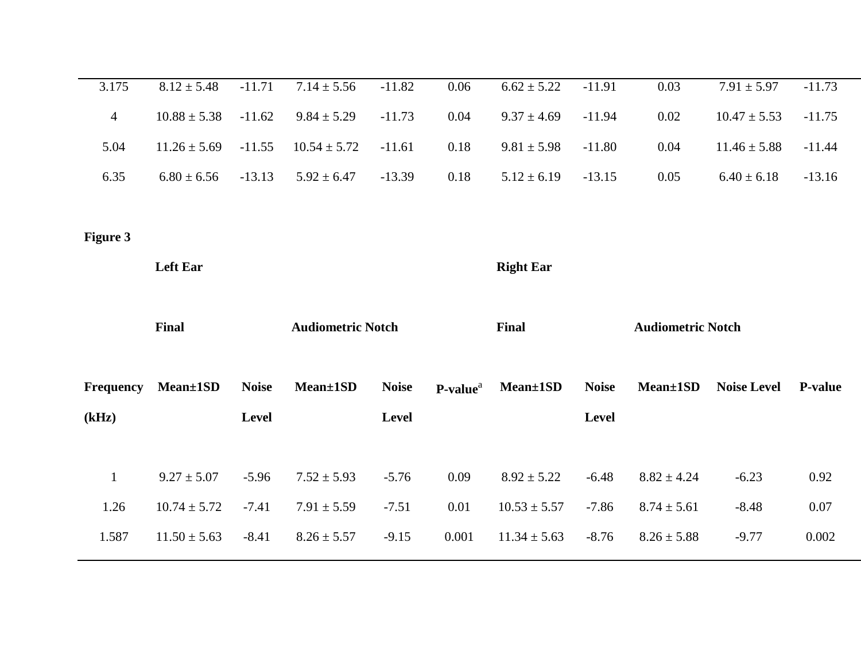| 3.175           | $8.12 \pm 5.48$  | $-11.71$     | $7.14 \pm 5.56$          | $-11.82$     | 0.06                 | $6.62 \pm 5.22$  | $-11.91$     | 0.03                     | $7.91 \pm 5.97$    | $-11.73$       |
|-----------------|------------------|--------------|--------------------------|--------------|----------------------|------------------|--------------|--------------------------|--------------------|----------------|
| $\overline{4}$  | $10.88 \pm 5.38$ | $-11.62$     | $9.84 \pm 5.29$          | $-11.73$     | 0.04                 | $9.37 \pm 4.69$  | $-11.94$     | 0.02                     | $10.47 \pm 5.53$   | $-11.75$       |
| 5.04            | $11.26 \pm 5.69$ | $-11.55$     | $10.54 \pm 5.72$         | $-11.61$     | 0.18                 | $9.81 \pm 5.98$  | $-11.80$     | 0.04                     | $11.46 \pm 5.88$   | $-11.44$       |
| 6.35            | $6.80 \pm 6.56$  | $-13.13$     | $5.92 \pm 6.47$          | $-13.39$     | 0.18                 | $5.12 \pm 6.19$  | $-13.15$     | 0.05                     | $6.40 \pm 6.18$    | $-13.16$       |
|                 |                  |              |                          |              |                      |                  |              |                          |                    |                |
| <b>Figure 3</b> |                  |              |                          |              |                      |                  |              |                          |                    |                |
|                 | <b>Left Ear</b>  |              |                          |              |                      | <b>Right Ear</b> |              |                          |                    |                |
|                 |                  |              |                          |              |                      |                  |              |                          |                    |                |
|                 |                  |              |                          |              |                      |                  |              |                          |                    |                |
|                 | <b>Final</b>     |              | <b>Audiometric Notch</b> |              |                      | Final            |              | <b>Audiometric Notch</b> |                    |                |
|                 |                  |              |                          |              |                      |                  |              |                          |                    |                |
| Frequency       | Mean±1SD         | <b>Noise</b> | Mean±1SD                 | <b>Noise</b> | P-value <sup>a</sup> | Mean±1SD         | <b>Noise</b> | Mean±1SD                 | <b>Noise Level</b> | <b>P-value</b> |
| (kHz)           |                  | Level        |                          | Level        |                      |                  | Level        |                          |                    |                |
|                 |                  |              |                          |              |                      |                  |              |                          |                    |                |
| $\mathbf{1}$    | $9.27 \pm 5.07$  | $-5.96$      | $7.52 \pm 5.93$          | $-5.76$      | 0.09                 | $8.92 \pm 5.22$  | $-6.48$      | $8.82 \pm 4.24$          | $-6.23$            | 0.92           |
| 1.26            | $10.74 \pm 5.72$ | $-7.41$      | $7.91 \pm 5.59$          | $-7.51$      | 0.01                 | $10.53 \pm 5.57$ | $-7.86$      | $8.74 \pm 5.61$          | $-8.48$            | 0.07           |
| 1.587           | $11.50 \pm 5.63$ | $-8.41$      | $8.26 \pm 5.57$          | $-9.15$      | 0.001                | $11.34 \pm 5.63$ | $-8.76$      | $8.26 \pm 5.88$          | $-9.77$            | 0.002          |